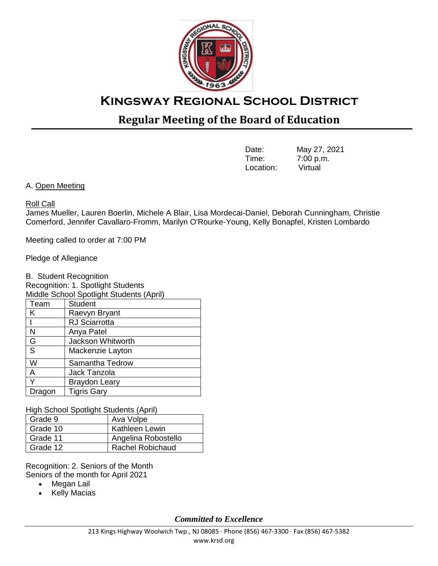

## **Regular Meeting of the Board of Education**

| Date:     | May 27, 2021 |
|-----------|--------------|
| Time:     | 7:00 p.m.    |
| Location: | Virtual      |

A. Open Meeting

## Roll Call

James Mueller, Lauren Boerlin, Michele A Blair, Lisa Mordecai-Daniel, Deborah Cunningham, Christie Comerford, Jennifer Cavallaro-Fromm, Marilyn O'Rourke-Young, Kelly Bonapfel, Kristen Lombardo

Meeting called to order at 7:00 PM

Pledge of Allegiance

B. Student Recognition Recognition: 1. Spotlight Students

| Middle School Spotlight Students (April) |                      |  |  |
|------------------------------------------|----------------------|--|--|
| Team                                     | <b>Student</b>       |  |  |
| K                                        | Raevyn Bryant        |  |  |
|                                          | <b>RJ</b> Sciarrotta |  |  |
| N                                        | Anya Patel           |  |  |
| G                                        | Jackson Whitworth    |  |  |
| $\overline{\mathsf{s}}$                  | Mackenzie Layton     |  |  |
| W                                        | Samantha Tedrow      |  |  |
| $\overline{A}$                           | Jack Tanzola         |  |  |
| Υ                                        | <b>Braydon Leary</b> |  |  |
| Dragon                                   | <b>Tigris Gary</b>   |  |  |

High School Spotlight Students (April)

| Grade 9  | Ava Volpe               |
|----------|-------------------------|
| Grade 10 | Kathleen Lewin          |
| Grade 11 | Angelina Robostello     |
| Grade 12 | <b>Rachel Robichaud</b> |

Recognition: 2. Seniors of the Month Seniors of the month for April 2021

- Megan Lail
- Kelly Macias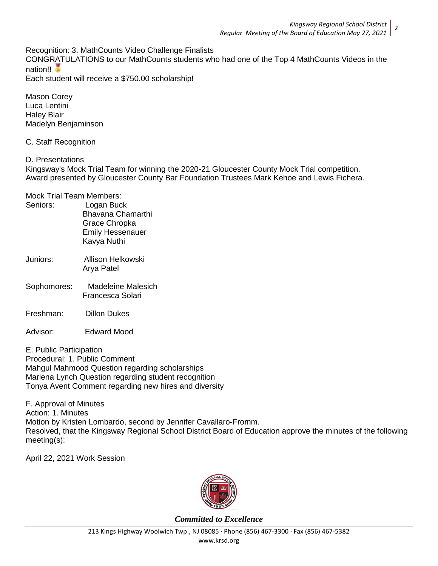Recognition: 3. MathCounts Video Challenge Finalists

CONGRATULATIONS to our MathCounts students who had one of the Top 4 MathCounts Videos in the nation!!

Each student will receive a \$750.00 scholarship!

Mason Corey Luca Lentini Haley Blair Madelyn Benjaminson

C. Staff Recognition

D. Presentations

Kingsway's Mock Trial Team for winning the 2020-21 Gloucester County Mock Trial competition. Award presented by Gloucester County Bar Foundation Trustees Mark Kehoe and Lewis Fichera.

## Mock Trial Team Members:

| Seniors: | Logan Buck              |
|----------|-------------------------|
|          | Bhavana Chamarthi       |
|          | Grace Chropka           |
|          | <b>Emily Hessenauer</b> |
|          | Kavya Nuthi             |
|          |                         |

- Juniors: Allison Helkowski Arya Patel
- Sophomores: Madeleine Malesich Francesca Solari
- Freshman: Dillon Dukes
- Advisor: Edward Mood

E. Public Participation Procedural: 1. Public Comment Mahgul Mahmood Question regarding scholarships Marlena Lynch Question regarding student recognition Tonya Avent Comment regarding new hires and diversity

F. Approval of Minutes Action: 1. Minutes Motion by Kristen Lombardo, second by Jennifer Cavallaro-Fromm. Resolved, that the Kingsway Regional School District Board of Education approve the minutes of the following meeting(s):

April 22, 2021 Work Session

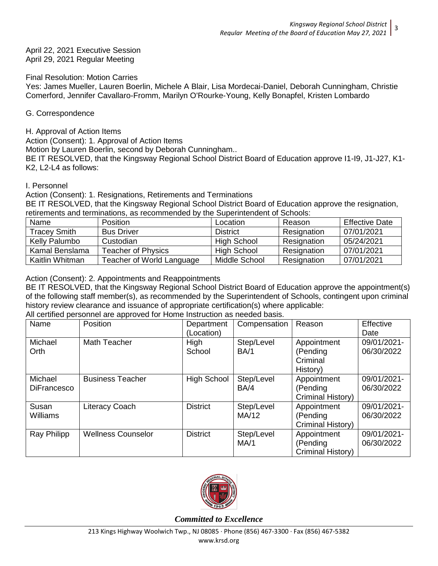April 22, 2021 Executive Session April 29, 2021 Regular Meeting

Final Resolution: Motion Carries

Yes: James Mueller, Lauren Boerlin, Michele A Blair, Lisa Mordecai-Daniel, Deborah Cunningham, Christie Comerford, Jennifer Cavallaro-Fromm, Marilyn O'Rourke-Young, Kelly Bonapfel, Kristen Lombardo

## G. Correspondence

H. Approval of Action Items

Action (Consent): 1. Approval of Action Items

Motion by Lauren Boerlin, second by Deborah Cunningham..

BE IT RESOLVED, that the Kingsway Regional School District Board of Education approve I1-I9, J1-J27, K1- K2, L2-L4 as follows:

#### I. Personnel

Action (Consent): 1. Resignations, Retirements and Terminations

BE IT RESOLVED, that the Kingsway Regional School District Board of Education approve the resignation, retirements and terminations, as recommended by the Superintendent of Schools:

| Name                | <b>Position</b>           | Location        | Reason      | <b>Effective Date</b> |
|---------------------|---------------------------|-----------------|-------------|-----------------------|
| <b>Tracey Smith</b> | <b>Bus Driver</b>         | <b>District</b> | Resignation | 07/01/2021            |
| Kelly Palumbo       | Custodian                 | High School     | Resignation | 05/24/2021            |
| Kamal Benslama      | <b>Teacher of Physics</b> | High School     | Resignation | 07/01/2021            |
| Kaitlin Whitman     | Teacher of World Language | Middle School   | Resignation | 07/01/2021            |

Action (Consent): 2. Appointments and Reappointments

BE IT RESOLVED, that the Kingsway Regional School District Board of Education approve the appointment(s) of the following staff member(s), as recommended by the Superintendent of Schools, contingent upon criminal history review clearance and issuance of appropriate certification(s) where applicable:

All certified personnel are approved for Home Instruction as needed basis.

| Name               | Position                  | Department         | Compensation | Reason            | Effective   |
|--------------------|---------------------------|--------------------|--------------|-------------------|-------------|
|                    |                           | (Location)         |              |                   | Date        |
| Michael            | Math Teacher              | High               | Step/Level   | Appointment       | 09/01/2021- |
| Orth               |                           | School             | BA/1         | (Pending          | 06/30/2022  |
|                    |                           |                    |              | Criminal          |             |
|                    |                           |                    |              | History)          |             |
| Michael            | <b>Business Teacher</b>   | <b>High School</b> | Step/Level   | Appointment       | 09/01/2021- |
| <b>DiFrancesco</b> |                           |                    | BA/4         | (Pending          | 06/30/2022  |
|                    |                           |                    |              | Criminal History) |             |
| Susan              | <b>Literacy Coach</b>     | <b>District</b>    | Step/Level   | Appointment       | 09/01/2021- |
| <b>Williams</b>    |                           |                    | MA/12        | (Pending          | 06/30/2022  |
|                    |                           |                    |              | Criminal History) |             |
| Ray Philipp        | <b>Wellness Counselor</b> | <b>District</b>    | Step/Level   | Appointment       | 09/01/2021- |
|                    |                           |                    | MA/1         | (Pending          | 06/30/2022  |
|                    |                           |                    |              | Criminal History) |             |

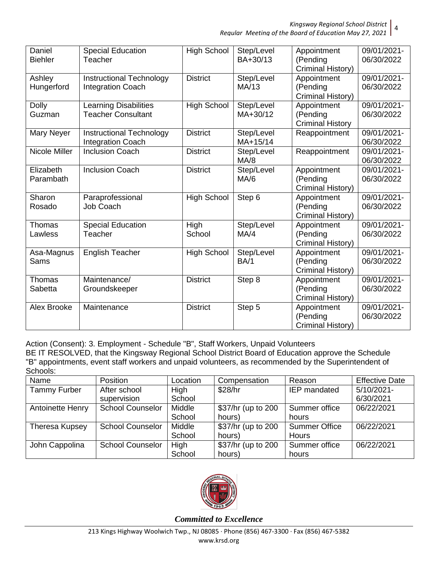*Regular Meeting of the Board of Education May 27, 2021*

| Daniel<br><b>Biehler</b> | <b>Special Education</b><br>Teacher                       | <b>High School</b> | Step/Level<br>BA+30/13 | Appointment<br>(Pending<br>Criminal History)       | 09/01/2021-<br>06/30/2022 |
|--------------------------|-----------------------------------------------------------|--------------------|------------------------|----------------------------------------------------|---------------------------|
| Ashley<br>Hungerford     | Instructional Technology<br><b>Integration Coach</b>      | <b>District</b>    | Step/Level<br>MA/13    | Appointment<br>(Pending<br>Criminal History)       | 09/01/2021-<br>06/30/2022 |
| <b>Dolly</b><br>Guzman   | <b>Learning Disabilities</b><br><b>Teacher Consultant</b> | <b>High School</b> | Step/Level<br>MA+30/12 | Appointment<br>(Pending<br><b>Criminal History</b> | 09/01/2021-<br>06/30/2022 |
| Mary Neyer               | Instructional Technology<br><b>Integration Coach</b>      | <b>District</b>    | Step/Level<br>MA+15/14 | Reappointment                                      | 09/01/2021-<br>06/30/2022 |
| <b>Nicole Miller</b>     | <b>Inclusion Coach</b>                                    | <b>District</b>    | Step/Level<br>MA/8     | Reappointment                                      | 09/01/2021-<br>06/30/2022 |
| Elizabeth<br>Parambath   | <b>Inclusion Coach</b>                                    | <b>District</b>    | Step/Level<br>MA/6     | Appointment<br>(Pending<br>Criminal History)       | 09/01/2021-<br>06/30/2022 |
| Sharon<br>Rosado         | Paraprofessional<br>Job Coach                             | <b>High School</b> | Step 6                 | Appointment<br>(Pending<br>Criminal History)       | 09/01/2021-<br>06/30/2022 |
| Thomas<br>Lawless        | <b>Special Education</b><br>Teacher                       | High<br>School     | Step/Level<br>MA/4     | Appointment<br>(Pending<br>Criminal History)       | 09/01/2021-<br>06/30/2022 |
| Asa-Magnus<br>Sams       | <b>English Teacher</b>                                    | <b>High School</b> | Step/Level<br>BA/1     | Appointment<br>(Pending<br>Criminal History)       | 09/01/2021-<br>06/30/2022 |
| Thomas<br>Sabetta        | Maintenance/<br>Groundskeeper                             | <b>District</b>    | Step 8                 | Appointment<br>(Pending<br>Criminal History)       | 09/01/2021-<br>06/30/2022 |
| Alex Brooke              | Maintenance                                               | <b>District</b>    | Step 5                 | Appointment<br>(Pending<br>Criminal History)       | 09/01/2021-<br>06/30/2022 |

Action (Consent): 3. Employment - Schedule "B", Staff Workers, Unpaid Volunteers

BE IT RESOLVED, that the Kingsway Regional School District Board of Education approve the Schedule "B" appointments, event staff workers and unpaid volunteers, as recommended by the Superintendent of Schools:

| Name                | Position                | Location | Compensation       | Reason               | <b>Effective Date</b> |
|---------------------|-------------------------|----------|--------------------|----------------------|-----------------------|
| <b>Tammy Furber</b> | After school            | High     | \$28/hr            | <b>IEP</b> mandated  | 5/10/2021-            |
|                     | supervision             | School   |                    |                      | 6/30/2021             |
| Antoinette Henry    | <b>School Counselor</b> | Middle   | \$37/hr (up to 200 | Summer office        | 06/22/2021            |
|                     |                         | School   | hours)             | hours                |                       |
| Theresa Kupsey      | <b>School Counselor</b> | Middle   | \$37/hr (up to 200 | <b>Summer Office</b> | 06/22/2021            |
|                     |                         | School   | hours)             | <b>Hours</b>         |                       |
| John Cappolina      | <b>School Counselor</b> | High     | \$37/hr (up to 200 | Summer office        | 06/22/2021            |
|                     |                         | School   | hours)             | hours                |                       |

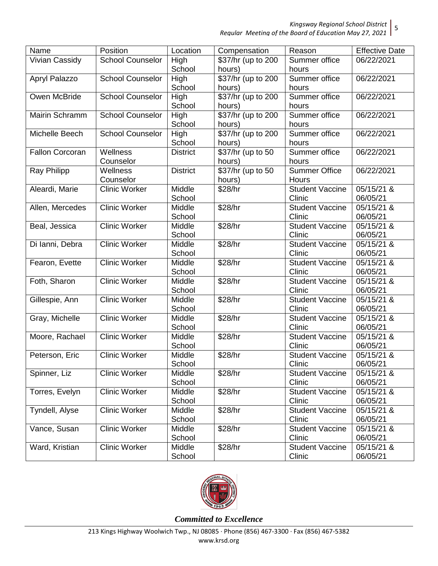| Name                   | Position                | Location        | Compensation       | Reason                 | <b>Effective Date</b> |
|------------------------|-------------------------|-----------------|--------------------|------------------------|-----------------------|
| <b>Vivian Cassidy</b>  | <b>School Counselor</b> | High            | \$37/hr (up to 200 | Summer office          | 06/22/2021            |
|                        |                         | School          | hours)             | hours                  |                       |
| Apryl Palazzo          | <b>School Counselor</b> | High            | \$37/hr (up to 200 | Summer office          | 06/22/2021            |
|                        |                         | School          | hours)             | hours                  |                       |
| Owen McBride           | <b>School Counselor</b> | High            | \$37/hr (up to 200 | Summer office          | 06/22/2021            |
|                        |                         | School          | hours)             | hours                  |                       |
| Mairin Schramm         | <b>School Counselor</b> | High            | \$37/hr (up to 200 | Summer office          | 06/22/2021            |
|                        |                         | School          | hours)             | hours                  |                       |
| Michelle Beech         | <b>School Counselor</b> | High            | \$37/hr (up to 200 | Summer office          | 06/22/2021            |
|                        |                         | School          | hours)             | hours                  |                       |
| <b>Fallon Corcoran</b> | Wellness                | <b>District</b> | \$37/hr (up to 50  | Summer office          | 06/22/2021            |
|                        | Counselor               |                 | hours)             | hours                  |                       |
| <b>Ray Philipp</b>     | Wellness                | <b>District</b> | \$37/hr (up to 50  | <b>Summer Office</b>   | 06/22/2021            |
|                        | Counselor               |                 | hours)             | <b>Hours</b>           |                       |
| Aleardi, Marie         | <b>Clinic Worker</b>    | Middle          | \$28/hr            | <b>Student Vaccine</b> | 05/15/21 &            |
|                        |                         | School          |                    | Clinic                 | 06/05/21              |
| Allen, Mercedes        | <b>Clinic Worker</b>    | Middle          | \$28/hr            | <b>Student Vaccine</b> | 05/15/21 &            |
|                        |                         | School          |                    | Clinic                 | 06/05/21              |
| Beal, Jessica          | <b>Clinic Worker</b>    | Middle          | \$28/hr            | <b>Student Vaccine</b> | 05/15/21 &            |
|                        |                         | School          |                    | Clinic                 | 06/05/21              |
| Di Ianni, Debra        | <b>Clinic Worker</b>    | Middle          | \$28/hr            | <b>Student Vaccine</b> | 05/15/21 &            |
|                        |                         | School          |                    | Clinic                 | 06/05/21              |
| Fearon, Evette         | <b>Clinic Worker</b>    | Middle          | \$28/hr            | <b>Student Vaccine</b> | 05/15/21 &            |
|                        |                         | School          |                    | Clinic                 | 06/05/21              |
| Foth, Sharon           | <b>Clinic Worker</b>    | Middle          | \$28/hr            | <b>Student Vaccine</b> | 05/15/21 &            |
|                        |                         | School          |                    | Clinic                 | 06/05/21              |
| Gillespie, Ann         | <b>Clinic Worker</b>    | Middle          | \$28/hr            | <b>Student Vaccine</b> | 05/15/21 &            |
|                        |                         | School          |                    | Clinic                 | 06/05/21              |
| Gray, Michelle         | <b>Clinic Worker</b>    | Middle          | \$28/hr            | <b>Student Vaccine</b> | 05/15/21 &            |
|                        |                         | School          |                    | Clinic                 | 06/05/21              |
| Moore, Rachael         | <b>Clinic Worker</b>    | Middle          | \$28/hr            | <b>Student Vaccine</b> | 05/15/21 &            |
|                        |                         | School          |                    | Clinic                 | 06/05/21              |
| Peterson, Eric         | <b>Clinic Worker</b>    | Middle          | \$28/hr            | <b>Student Vaccine</b> | 05/15/21 &            |
|                        |                         | School          |                    | Clinic                 | 06/05/21              |
| Spinner, Liz           | <b>Clinic Worker</b>    | Middle          | \$28/hr            | <b>Student Vaccine</b> | 05/15/21 &            |
|                        |                         | School          |                    | Clinic                 | 06/05/21              |
| Torres, Evelyn         | <b>Clinic Worker</b>    | Middle          | \$28/hr            | <b>Student Vaccine</b> | 05/15/21 &            |
|                        |                         | School          |                    | Clinic                 | 06/05/21              |
| Tyndell, Alyse         | <b>Clinic Worker</b>    | Middle          | \$28/hr            | <b>Student Vaccine</b> | 05/15/21 &            |
|                        |                         | School          |                    | Clinic                 | 06/05/21              |
| Vance, Susan           | <b>Clinic Worker</b>    | Middle          | \$28/hr            | <b>Student Vaccine</b> | 05/15/21 &            |
|                        |                         | School          |                    | Clinic                 | 06/05/21              |
| Ward, Kristian         | <b>Clinic Worker</b>    | Middle          | \$28/hr            | <b>Student Vaccine</b> | 05/15/21 &            |
|                        |                         | School          |                    | Clinic                 | 06/05/21              |

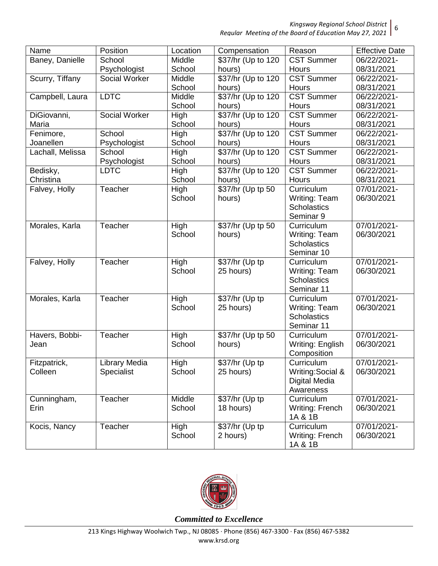*Regular Meeting of the Board of Education May 27, 2021* 6

| Name             | Position      | Location |                        | Reason             | <b>Effective Date</b> |
|------------------|---------------|----------|------------------------|--------------------|-----------------------|
|                  |               | Middle   | Compensation           |                    |                       |
| Baney, Danielle  | School        |          | \$37/hr (Up to 120     | <b>CST Summer</b>  | 06/22/2021-           |
|                  | Psychologist  | School   | hours)                 | <b>Hours</b>       | 08/31/2021            |
| Scurry, Tiffany  | Social Worker | Middle   | \$37/hr (Up to 120     | <b>CST Summer</b>  | 06/22/2021-           |
|                  |               | School   | hours)                 | Hours              | 08/31/2021            |
| Campbell, Laura  | <b>LDTC</b>   | Middle   | \$37/hr (Up to 120     | <b>CST Summer</b>  | 06/22/2021-           |
|                  |               | School   | hours)                 | Hours              | 08/31/2021            |
| DiGiovanni,      | Social Worker | High     | \$37/hr (Up to 120     | <b>CST Summer</b>  | 06/22/2021-           |
| Maria            |               | School   | hours)                 | Hours              | 08/31/2021            |
| Fenimore,        | School        | High     | \$37/hr (Up to 120     | <b>CST Summer</b>  | 06/22/2021-           |
| Joanellen        | Psychologist  | School   | hours)                 | Hours              | 08/31/2021            |
| Lachall, Melissa | School        | High     | \$37/hr (Up to 120     | CST Summer         | 06/22/2021-           |
|                  | Psychologist  | School   | hours)                 | Hours              | 08/31/2021            |
| Bedisky,         | <b>LDTC</b>   | High     | \$37/hr (Up to 120     | <b>CST Summer</b>  | 06/22/2021-           |
| Christina        |               | School   | hours)                 | Hours              | 08/31/2021            |
| Falvey, Holly    | Teacher       | High     | \$37/hr (Up tp 50      | Curriculum         | 07/01/2021-           |
|                  |               | School   | hours)                 | Writing: Team      | 06/30/2021            |
|                  |               |          |                        | <b>Scholastics</b> |                       |
|                  |               |          |                        | Seminar 9          |                       |
| Morales, Karla   | Teacher       | High     | \$37/hr (Up tp 50      | Curriculum         | 07/01/2021-           |
|                  |               | School   | hours)                 | Writing: Team      | 06/30/2021            |
|                  |               |          |                        | <b>Scholastics</b> |                       |
|                  |               |          |                        | Seminar 10         |                       |
| Falvey, Holly    | Teacher       | High     | \$37/hr (Up tp         | Curriculum         | 07/01/2021-           |
|                  |               | School   | 25 hours)              | Writing: Team      | 06/30/2021            |
|                  |               |          |                        | <b>Scholastics</b> |                       |
|                  |               |          |                        | Seminar 11         |                       |
|                  |               |          |                        |                    | 07/01/2021-           |
| Morales, Karla   | Teacher       | High     | $\sqrt{$37/hr}$ (Up tp | Curriculum         |                       |
|                  |               | School   | 25 hours)              | Writing: Team      | 06/30/2021            |
|                  |               |          |                        | <b>Scholastics</b> |                       |
|                  |               |          |                        | Seminar 11         |                       |
| Havers, Bobbi-   | Teacher       | High     | \$37/hr (Up tp 50      | Curriculum         | 07/01/2021-           |
| Jean             |               | School   | hours)                 | Writing: English   | 06/30/2021            |
|                  |               |          |                        | Composition        |                       |
| Fitzpatrick,     | Library Media | High     | $\sqrt{$37/hr}$ (Up tp | Curriculum         | 07/01/2021-           |
| Colleen          | Specialist    | School   | 25 hours)              | Writing: Social &  | 06/30/2021            |
|                  |               |          |                        | Digital Media      |                       |
|                  |               |          |                        | Awareness          |                       |
| Cunningham,      | Teacher       | Middle   | \$37/hr (Up tp         | Curriculum         | 07/01/2021-           |
| Erin             |               | School   | 18 hours)              | Writing: French    | 06/30/2021            |
|                  |               |          |                        | 1A & 1B            |                       |
| Kocis, Nancy     | Teacher       | High     | \$37/hr (Up tp         | Curriculum         | 07/01/2021-           |
|                  |               | School   | 2 hours)               | Writing: French    | 06/30/2021            |
|                  |               |          |                        | 1A & 1B            |                       |

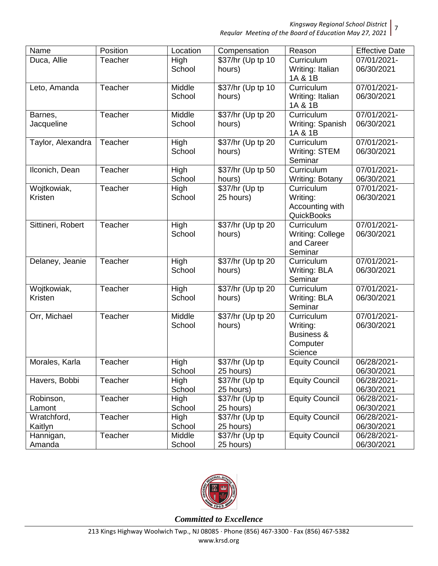*Regular Meeting of the Board of Education May 27, 2021* 7

| Name                   | Position | Location              | Compensation                | Reason                                                                 | <b>Effective Date</b>     |
|------------------------|----------|-----------------------|-----------------------------|------------------------------------------------------------------------|---------------------------|
| Duca, Allie            | Teacher  | High<br>School        | \$37/hr (Up tp 10<br>hours) | Curriculum<br>Writing: Italian<br>1A & 1B                              | 07/01/2021-<br>06/30/2021 |
| Leto, Amanda           | Teacher  | Middle<br>School      | \$37/hr (Up tp 10<br>hours) | Curriculum<br>Writing: Italian<br>1A & 1B                              | 07/01/2021-<br>06/30/2021 |
| Barnes,<br>Jacqueline  | Teacher  | Middle<br>School      | \$37/hr (Up tp 20<br>hours) | Curriculum<br>Writing: Spanish<br>1A & 1B                              | 07/01/2021-<br>06/30/2021 |
| Taylor, Alexandra      | Teacher  | <b>High</b><br>School | \$37/hr (Up tp 20<br>hours) | Curriculum<br>Writing: STEM<br>Seminar                                 | 07/01/2021-<br>06/30/2021 |
| Ilconich, Dean         | Teacher  | High<br>School        | \$37/hr (Up tp 50<br>hours) | Curriculum<br><b>Writing: Botany</b>                                   | 07/01/2021-<br>06/30/2021 |
| Wojtkowiak,<br>Kristen | Teacher  | High<br>School        | \$37/hr (Up tp<br>25 hours) | Curriculum<br>Writing:<br>Accounting with<br><b>QuickBooks</b>         | 07/01/2021-<br>06/30/2021 |
| Sittineri, Robert      | Teacher  | High<br>School        | \$37/hr (Up tp 20<br>hours) | Curriculum<br>Writing: College<br>and Career<br>Seminar                | 07/01/2021-<br>06/30/2021 |
| Delaney, Jeanie        | Teacher  | High<br>School        | \$37/hr (Up tp 20<br>hours) | Curriculum<br>Writing: BLA<br>Seminar                                  | 07/01/2021-<br>06/30/2021 |
| Wojtkowiak,<br>Kristen | Teacher  | High<br>School        | \$37/hr (Up tp 20<br>hours) | Curriculum<br>Writing: BLA<br>Seminar                                  | 07/01/2021-<br>06/30/2021 |
| Orr, Michael           | Teacher  | Middle<br>School      | \$37/hr (Up tp 20<br>hours) | Curriculum<br>Writing:<br><b>Business &amp;</b><br>Computer<br>Science | 07/01/2021-<br>06/30/2021 |
| Morales, Karla         | Teacher  | High<br>School        | \$37/hr (Up tp<br>25 hours) | <b>Equity Council</b>                                                  | 06/28/2021-<br>06/30/2021 |
| Havers, Bobbi          | Teacher  | High<br>School        | \$37/hr (Up tp<br>25 hours) | <b>Equity Council</b>                                                  | 06/28/2021-<br>06/30/2021 |
| Robinson,<br>Lamont    | Teacher  | High<br>School        | \$37/hr (Up tp<br>25 hours) | <b>Equity Council</b>                                                  | 06/28/2021-<br>06/30/2021 |
| Wratchford,<br>Kaitlyn | Teacher  | High<br>School        | \$37/hr (Up tp<br>25 hours) | <b>Equity Council</b>                                                  | 06/28/2021-<br>06/30/2021 |
| Hannigan,<br>Amanda    | Teacher  | Middle<br>School      | \$37/hr (Up tp<br>25 hours) | <b>Equity Council</b>                                                  | 06/28/2021-<br>06/30/2021 |

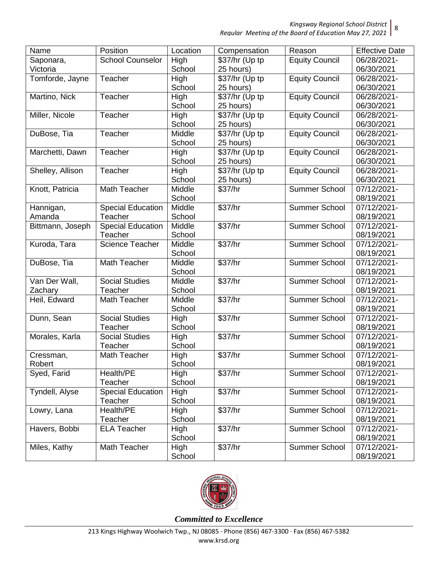| Name             | Position                 | Location | Compensation               | Reason                | <b>Effective Date</b> |
|------------------|--------------------------|----------|----------------------------|-----------------------|-----------------------|
| Saponara,        | <b>School Counselor</b>  | High     | \$37/hr (Up tp             | Equity Council        | 06/28/2021-           |
| Victoria         |                          | School   | 25 hours)                  |                       | 06/30/2021            |
| Tomforde, Jayne  | Teacher                  | High     | \$37/hr (Up tp             | <b>Equity Council</b> | 06/28/2021-           |
|                  |                          | School   | 25 hours)                  |                       | 06/30/2021            |
| Martino, Nick    | Teacher                  | High     | \$37/hr (Up tp             | <b>Equity Council</b> | 06/28/2021-           |
|                  |                          | School   | 25 hours)                  |                       | 06/30/2021            |
| Miller, Nicole   | Teacher                  | High     | \$37/hr (Up tp             | <b>Equity Council</b> | 06/28/2021-           |
|                  |                          | School   | 25 hours)                  |                       | 06/30/2021            |
| DuBose, Tia      | Teacher                  | Middle   | \$37/hr (Up tp             | <b>Equity Council</b> | 06/28/2021-           |
|                  |                          | School   | 25 hours)                  |                       | 06/30/2021            |
| Marchetti, Dawn  | Teacher                  | High     | $\overline{$37/hr}$ (Up tp | <b>Equity Council</b> | 06/28/2021-           |
|                  |                          | School   | 25 hours)                  |                       | 06/30/2021            |
| Shelley, Allison | Teacher                  | High     | \$37/hr (Up tp             | <b>Equity Council</b> | 06/28/2021-           |
|                  |                          | School   | 25 hours)                  |                       | 06/30/2021            |
| Knott, Patricia  | Math Teacher             | Middle   | \$37/hr                    | <b>Summer School</b>  | 07/12/2021-           |
|                  |                          | School   |                            |                       | 08/19/2021            |
| Hannigan,        | Special Education        | Middle   | \$37/hr                    | <b>Summer School</b>  | 07/12/2021-           |
| Amanda           | Teacher                  | School   |                            |                       | 08/19/2021            |
| Bittmann, Joseph | <b>Special Education</b> | Middle   | \$37/hr                    | <b>Summer School</b>  | 07/12/2021-           |
|                  | Teacher                  | School   |                            |                       | 08/19/2021            |
| Kuroda, Tara     | <b>Science Teacher</b>   | Middle   | \$37/hr                    | <b>Summer School</b>  | 07/12/2021-           |
|                  |                          | School   |                            |                       | 08/19/2021            |
| DuBose, Tia      | Math Teacher             | Middle   | \$37/hr                    | <b>Summer School</b>  | 07/12/2021-           |
|                  |                          | School   |                            |                       | 08/19/2021            |
| Van Der Wall,    | <b>Social Studies</b>    | Middle   | \$37/hr                    | <b>Summer School</b>  | 07/12/2021-           |
| Zachary          | Teacher                  | School   |                            |                       | 08/19/2021            |
| Heil, Edward     | Math Teacher             | Middle   | \$37/hr                    | <b>Summer School</b>  | 07/12/2021-           |
|                  |                          | School   |                            |                       | 08/19/2021            |
| Dunn, Sean       | <b>Social Studies</b>    | High     | \$37/hr                    | <b>Summer School</b>  | 07/12/2021-           |
|                  | Teacher                  | School   |                            |                       | 08/19/2021            |
| Morales, Karla   | <b>Social Studies</b>    | High     | \$37/hr                    | Summer School         | 07/12/2021-           |
|                  | Teacher                  | School   |                            |                       | 08/19/2021            |
| Cressman,        | Math Teacher             | High     | \$37/hr                    | <b>Summer School</b>  | 07/12/2021-           |
| Robert           |                          | School   |                            |                       | 08/19/2021            |
| Syed, Farid      | Health/PE                | High     | \$37/hr                    | <b>Summer School</b>  | 07/12/2021-           |
|                  | Teacher                  | School   |                            |                       | 08/19/2021            |
| Tyndell, Alyse   | <b>Special Education</b> | High     | \$37/hr                    | Summer School         | 07/12/2021-           |
|                  | Teacher                  | School   |                            |                       | 08/19/2021            |
| Lowry, Lana      | Health/PE                | High     | \$37/hr                    | Summer School         | 07/12/2021-           |
|                  | Teacher                  | School   |                            |                       | 08/19/2021            |
| Havers, Bobbi    | <b>ELA Teacher</b>       | High     | \$37/hr                    | <b>Summer School</b>  | 07/12/2021-           |
|                  |                          | School   |                            |                       | 08/19/2021            |
| Miles, Kathy     | Math Teacher             | High     | \$37/hr                    | Summer School         | 07/12/2021-           |
|                  |                          | School   |                            |                       | 08/19/2021            |

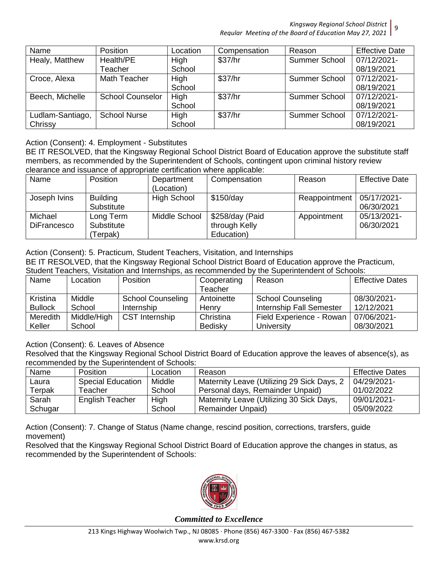| Name             | <b>Position</b>         | Location | Compensation | Reason               | <b>Effective Date</b> |
|------------------|-------------------------|----------|--------------|----------------------|-----------------------|
| Healy, Matthew   | Health/PE               | High     | \$37/hr      | <b>Summer School</b> | 07/12/2021-           |
|                  | Teacher                 | School   |              |                      | 08/19/2021            |
| Croce, Alexa     | Math Teacher            | High     | \$37/hr      | Summer School        | 07/12/2021-           |
|                  |                         | School   |              |                      | 08/19/2021            |
| Beech, Michelle  | <b>School Counselor</b> | High     | \$37/hr      | <b>Summer School</b> | 07/12/2021-           |
|                  |                         | School   |              |                      | 08/19/2021            |
| Ludlam-Santiago, | <b>School Nurse</b>     | High     | \$37/hr      | <b>Summer School</b> | 07/12/2021-           |
| Chrissy          |                         | School   |              |                      | 08/19/2021            |

## Action (Consent): 4. Employment - Substitutes

BE IT RESOLVED, that the Kingsway Regional School District Board of Education approve the substitute staff members, as recommended by the Superintendent of Schools, contingent upon criminal history review clearance and issuance of appropriate certification where applicable:

| Name                          | <b>Position</b>                    | Department<br>(Location) | Compensation                                   | Reason        | <b>Effective Date</b>     |
|-------------------------------|------------------------------------|--------------------------|------------------------------------------------|---------------|---------------------------|
| Joseph Ivins                  | <b>Building</b><br>Substitute      | <b>High School</b>       | \$150/day                                      | Reappointment | 05/17/2021-<br>06/30/2021 |
| Michael<br><b>DiFrancesco</b> | Long Term<br>Substitute<br>Terpak) | Middle School            | \$258/day (Paid<br>through Kelly<br>Education) | Appointment   | 05/13/2021-<br>06/30/2021 |

#### Action (Consent): 5. Practicum, Student Teachers, Visitation, and Internships

BE IT RESOLVED, that the Kingsway Regional School District Board of Education approve the Practicum, Student Teachers, Visitation and Internships, as recommended by the Superintendent of Schools:

| <u>UNUUTI TUUTIUTU, VIDINNITTUIN IITUTIUTUU ILUUTIITUTUU PY ITU UUPUITINTIUTIUTI UTUUTUU.</u> |             |                          |             |                          |                        |
|-----------------------------------------------------------------------------------------------|-------------|--------------------------|-------------|--------------------------|------------------------|
| Name                                                                                          | Location    | <b>Position</b>          | Cooperating | Reason                   | <b>Effective Dates</b> |
|                                                                                               |             |                          | Teacher     |                          |                        |
| Kristina                                                                                      | Middle      | <b>School Counseling</b> | Antoinette  | <b>School Counseling</b> | 08/30/2021-            |
| <b>Bullock</b>                                                                                | School      | Internship               | Henry       | Internship Fall Semester | 12/12/2021             |
| Meredith                                                                                      | Middle/High | <b>CST</b> Internship    | Christina   | Field Experience - Rowan | 07/06/2021-            |
| Keller                                                                                        | School      |                          | Bedisky     | University               | 08/30/2021             |

Action (Consent): 6. Leaves of Absence

Resolved that the Kingsway Regional School District Board of Education approve the leaves of absence(s), as recommended by the Superintendent of Schools:

| Name    | <b>Position</b>          | Location | Reason                                     | <b>Effective Dates</b> |
|---------|--------------------------|----------|--------------------------------------------|------------------------|
| Laura   | <b>Special Education</b> | Middle   | Maternity Leave (Utilizing 29 Sick Days, 2 | 04/29/2021-            |
| Terpak  | Teacher                  | School   | Personal days, Remainder Unpaid)           | 01/02/2022             |
| Sarah   | <b>English Teacher</b>   | High     | Maternity Leave (Utilizing 30 Sick Days,   | 09/01/2021-            |
| Schugar |                          | School   | <b>Remainder Unpaid)</b>                   | 05/09/2022             |

Action (Consent): 7. Change of Status (Name change, rescind position, corrections, trarsfers, guide movement)

Resolved that the Kingsway Regional School District Board of Education approve the changes in status, as recommended by the Superintendent of Schools:

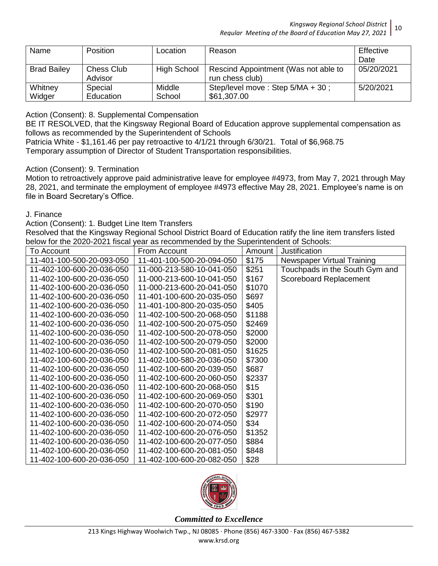| Name               | <b>Position</b>       | Location           | Reason                                                  | Effective<br>Date |
|--------------------|-----------------------|--------------------|---------------------------------------------------------|-------------------|
| <b>Brad Bailey</b> | Chess Club<br>Advisor | <b>High School</b> | Rescind Appointment (Was not able to<br>run chess club) | 05/20/2021        |
| Whitney<br>Widger  | Special<br>Education  | Middle<br>School   | Step/level move: Step 5/MA + 30;<br>\$61,307.00         | 5/20/2021         |

Action (Consent): 8. Supplemental Compensation

BE IT RESOLVED, that the Kingsway Regional Board of Education approve supplemental compensation as follows as recommended by the Superintendent of Schools

Patricia White - \$1,161.46 per pay retroactive to 4/1/21 through 6/30/21. Total of \$6,968.75 Temporary assumption of Director of Student Transportation responsibilities.

## Action (Consent): 9. Termination

Motion to retroactively approve paid administrative leave for employee #4973, from May 7, 2021 through May 28, 2021, and terminate the employment of employee #4973 effective May 28, 2021. Employee's name is on file in Board Secretary's Office.

## J. Finance

Action (Consent): 1. Budget Line Item Transfers

Resolved that the Kingsway Regional School District Board of Education ratify the line item transfers listed below for the 2020-2021 fiscal year as recommended by the Superintendent of Schools:

| To Account                | From Account              | Amount | Justification                  |
|---------------------------|---------------------------|--------|--------------------------------|
| 11-401-100-500-20-093-050 | 11-401-100-500-20-094-050 | \$175  | Newspaper Virtual Training     |
| 11-402-100-600-20-036-050 | 11-000-213-580-10-041-050 | \$251  | Touchpads in the South Gym and |
| 11-402-100-600-20-036-050 | 11-000-213-600-10-041-050 | \$167  | Scoreboard Replacement         |
| 11-402-100-600-20-036-050 | 11-000-213-600-20-041-050 | \$1070 |                                |
| 11-402-100-600-20-036-050 | 11-401-100-600-20-035-050 | \$697  |                                |
| 11-402-100-600-20-036-050 | 11-401-100-800-20-035-050 | \$405  |                                |
| 11-402-100-600-20-036-050 | 11-402-100-500-20-068-050 | \$1188 |                                |
| 11-402-100-600-20-036-050 | 11-402-100-500-20-075-050 | \$2469 |                                |
| 11-402-100-600-20-036-050 | 11-402-100-500-20-078-050 | \$2000 |                                |
| 11-402-100-600-20-036-050 | 11-402-100-500-20-079-050 | \$2000 |                                |
| 11-402-100-600-20-036-050 | 11-402-100-500-20-081-050 | \$1625 |                                |
| 11-402-100-600-20-036-050 | 11-402-100-580-20-036-050 | \$7300 |                                |
| 11-402-100-600-20-036-050 | 11-402-100-600-20-039-050 | \$687  |                                |
| 11-402-100-600-20-036-050 | 11-402-100-600-20-060-050 | \$2337 |                                |
| 11-402-100-600-20-036-050 | 11-402-100-600-20-068-050 | \$15   |                                |
| 11-402-100-600-20-036-050 | 11-402-100-600-20-069-050 | \$301  |                                |
| 11-402-100-600-20-036-050 | 11-402-100-600-20-070-050 | \$190  |                                |
| 11-402-100-600-20-036-050 | 11-402-100-600-20-072-050 | \$2977 |                                |
| 11-402-100-600-20-036-050 | 11-402-100-600-20-074-050 | \$34   |                                |
| 11-402-100-600-20-036-050 | 11-402-100-600-20-076-050 | \$1352 |                                |
| 11-402-100-600-20-036-050 | 11-402-100-600-20-077-050 | \$884  |                                |
| 11-402-100-600-20-036-050 | 11-402-100-600-20-081-050 | \$848  |                                |
| 11-402-100-600-20-036-050 | 11-402-100-600-20-082-050 | \$28   |                                |

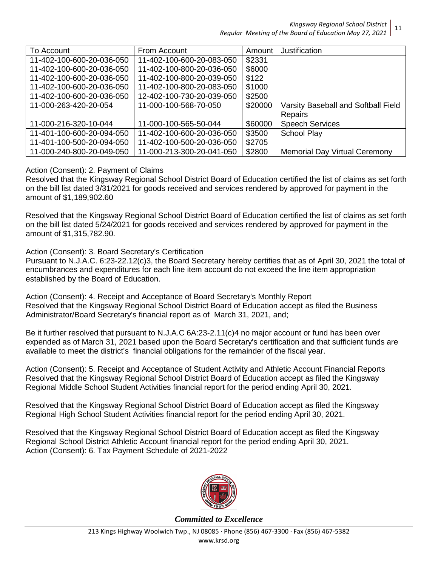| To Account                | From Account              | Amount  | Justification                        |
|---------------------------|---------------------------|---------|--------------------------------------|
| 11-402-100-600-20-036-050 | 11-402-100-600-20-083-050 | \$2331  |                                      |
| 11-402-100-600-20-036-050 | 11-402-100-800-20-036-050 | \$6000  |                                      |
| 11-402-100-600-20-036-050 | 11-402-100-800-20-039-050 | \$122   |                                      |
| 11-402-100-600-20-036-050 | 11-402-100-800-20-083-050 | \$1000  |                                      |
| 11-402-100-600-20-036-050 | 12-402-100-730-20-039-050 | \$2500  |                                      |
| 11-000-263-420-20-054     | 11-000-100-568-70-050     | \$20000 | Varsity Baseball and Softball Field  |
|                           |                           |         | <b>Repairs</b>                       |
| 11-000-216-320-10-044     | 11-000-100-565-50-044     | \$60000 | <b>Speech Services</b>               |
| 11-401-100-600-20-094-050 | 11-402-100-600-20-036-050 | \$3500  | <b>School Play</b>                   |
| 11-401-100-500-20-094-050 | 11-402-100-500-20-036-050 | \$2705  |                                      |
| 11-000-240-800-20-049-050 | 11-000-213-300-20-041-050 | \$2800  | <b>Memorial Day Virtual Ceremony</b> |

## Action (Consent): 2. Payment of Claims

Resolved that the Kingsway Regional School District Board of Education certified the list of claims as set forth on the bill list dated 3/31/2021 for goods received and services rendered by approved for payment in the amount of \$1,189,902.60

Resolved that the Kingsway Regional School District Board of Education certified the list of claims as set forth on the bill list dated 5/24/2021 for goods received and services rendered by approved for payment in the amount of \$1,315,782.90.

Action (Consent): 3. Board Secretary's Certification

Pursuant to N.J.A.C. 6:23-22.12(c)3, the Board Secretary hereby certifies that as of April 30, 2021 the total of encumbrances and expenditures for each line item account do not exceed the line item appropriation established by the Board of Education.

Action (Consent): 4. Receipt and Acceptance of Board Secretary's Monthly Report Resolved that the Kingsway Regional School District Board of Education accept as filed the Business Administrator/Board Secretary's financial report as of March 31, 2021, and;

Be it further resolved that pursuant to N.J.A.C 6A:23-2.11(c)4 no major account or fund has been over expended as of March 31, 2021 based upon the Board Secretary's certification and that sufficient funds are available to meet the district's financial obligations for the remainder of the fiscal year.

Action (Consent): 5. Receipt and Acceptance of Student Activity and Athletic Account Financial Reports Resolved that the Kingsway Regional School District Board of Education accept as filed the Kingsway Regional Middle School Student Activities financial report for the period ending April 30, 2021.

Resolved that the Kingsway Regional School District Board of Education accept as filed the Kingsway Regional High School Student Activities financial report for the period ending April 30, 2021.

Resolved that the Kingsway Regional School District Board of Education accept as filed the Kingsway Regional School District Athletic Account financial report for the period ending April 30, 2021. Action (Consent): 6. Tax Payment Schedule of 2021-2022



*Committed to Excellence*

11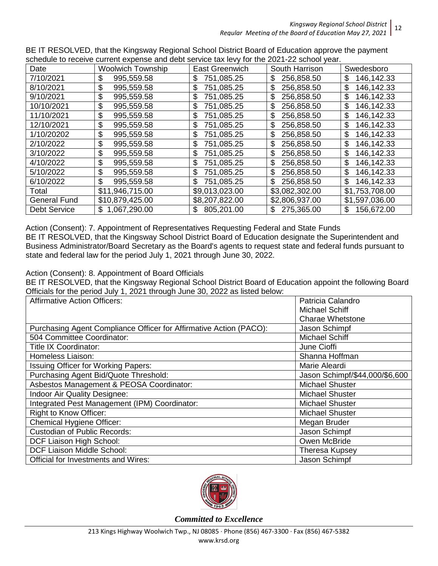|                     | SUIGUUG IO TECENG CUITEIII EXPENSE ANU UEDI SENICE IAX IEVY TOI ING ZUZT-ZZ SUIDOI YEAT. |                  |                |                  |
|---------------------|------------------------------------------------------------------------------------------|------------------|----------------|------------------|
| Date                | <b>Woolwich Township</b>                                                                 | East Greenwich   | South Harrison | Swedesboro       |
| 7/10/2021           | 995,559.58<br>\$                                                                         | 751,085.25<br>\$ | 256,858.50     | 146,142.33<br>\$ |
| 8/10/2021           | \$<br>995,559.58                                                                         | 751,085.25<br>\$ | 256,858.50     | 146,142.33<br>\$ |
| 9/10/2021           | \$<br>995,559.58                                                                         | 751,085.25<br>\$ | 256,858.50     | \$<br>146,142.33 |
| 10/10/2021          | \$<br>995,559.58                                                                         | 751,085.25<br>\$ | 256,858.50     | \$<br>146,142.33 |
| 11/10/2021          | \$<br>995,559.58                                                                         | \$<br>751,085.25 | 256,858.50     | 146,142.33<br>\$ |
| 12/10/2021          | \$<br>995,559.58                                                                         | \$<br>751,085.25 | 256,858.50     | \$<br>146,142.33 |
| 1/10/20202          | \$<br>995,559.58                                                                         | \$<br>751,085.25 | 256,858.50     | \$<br>146,142.33 |
| 2/10/2022           | \$<br>995,559.58                                                                         | 751,085.25<br>\$ | 256,858.50     | \$<br>146,142.33 |
| 3/10/2022           | \$<br>995,559.58                                                                         | \$<br>751,085.25 | 256,858.50     | \$<br>146,142.33 |
| 4/10/2022           | \$<br>995,559.58                                                                         | \$<br>751,085.25 | 256,858.50     | \$<br>146,142.33 |
| 5/10/2022           | \$<br>995,559.58                                                                         | \$<br>751,085.25 | 256,858.50     | 146,142.33<br>\$ |
| 6/10/2022           | \$<br>995,559.58                                                                         | 751,085.25<br>\$ | 256,858.50     | \$<br>146,142.33 |
| Total               | \$11,946,715.00                                                                          | \$9,013,023.00   | \$3,082,302.00 | \$1,753,708.00   |
| <b>General Fund</b> | \$10,879,425.00                                                                          | \$8,207,822.00   | \$2,806,937.00 | \$1,597,036.00   |
| <b>Debt Service</b> | 1,067,290.00<br>S                                                                        | 805,201.00<br>S  | 275,365.00     | 156,672.00<br>\$ |

BE IT RESOLVED, that the Kingsway Regional School District Board of Education approve the payment schedule to receive current expense and debt service tax levy for the 2021-22 school year.

Action (Consent): 7. Appointment of Representatives Requesting Federal and State Funds BE IT RESOLVED, that the Kingsway School District Board of Education designate the Superintendent and Business Administrator/Board Secretary as the Board's agents to request state and federal funds pursuant to state and federal law for the period July 1, 2021 through June 30, 2022.

## Action (Consent): 8. Appointment of Board Officials

BE IT RESOLVED, that the Kingsway Regional School District Board of Education appoint the following Board Officials for the period July 1, 2021 through June 30, 2022 as listed below:

| <b>Affirmative Action Officers:</b>                                | Patricia Calandro              |
|--------------------------------------------------------------------|--------------------------------|
|                                                                    | Michael Schiff                 |
|                                                                    | <b>Charae Whetstone</b>        |
| Purchasing Agent Compliance Officer for Affirmative Action (PACO): | Jason Schimpf                  |
| 504 Committee Coordinator:                                         | <b>Michael Schiff</b>          |
| <b>Title IX Coordinator:</b>                                       | June Cioffi                    |
| Homeless Liaison:                                                  | Shanna Hoffman                 |
| <b>Issuing Officer for Working Papers:</b>                         | Marie Aleardi                  |
| Purchasing Agent Bid/Quote Threshold:                              | Jason Schimpf/\$44,000/\$6,600 |
| Asbestos Management & PEOSA Coordinator:                           | <b>Michael Shuster</b>         |
| Indoor Air Quality Designee:                                       | <b>Michael Shuster</b>         |
| Integrated Pest Management (IPM) Coordinator:                      | <b>Michael Shuster</b>         |
| <b>Right to Know Officer:</b>                                      | <b>Michael Shuster</b>         |
| Chemical Hygiene Officer:                                          | Megan Bruder                   |
| <b>Custodian of Public Records:</b>                                | Jason Schimpf                  |
| DCF Liaison High School:                                           | Owen McBride                   |
| DCF Liaison Middle School:                                         | <b>Theresa Kupsey</b>          |
| <b>Official for Investments and Wires:</b>                         | Jason Schimpf                  |

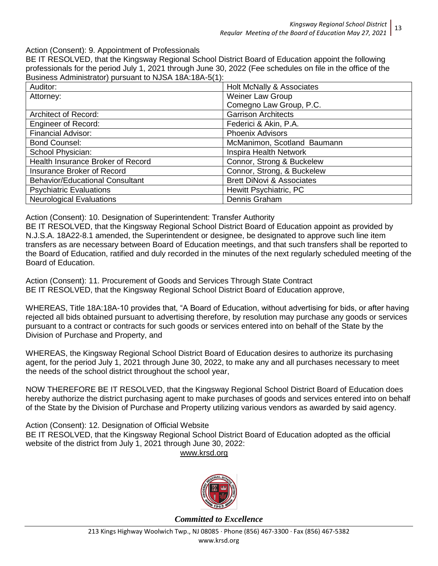Action (Consent): 9. Appointment of Professionals

BE IT RESOLVED, that the Kingsway Regional School District Board of Education appoint the following professionals for the period July 1, 2021 through June 30, 2022 (Fee schedules on file in the office of the Business Administrator) pursuant to NJSA 18A:18A-5(1):

| Auditor:                               | Holt McNally & Associates            |
|----------------------------------------|--------------------------------------|
| Attorney:                              | Weiner Law Group                     |
|                                        | Comegno Law Group, P.C.              |
| <b>Architect of Record:</b>            | <b>Garrison Architects</b>           |
| <b>Engineer of Record:</b>             | Federici & Akin, P.A.                |
| <b>Financial Advisor:</b>              | <b>Phoenix Advisors</b>              |
| <b>Bond Counsel:</b>                   | McManimon, Scotland Baumann          |
| School Physician:                      | Inspira Health Network               |
| Health Insurance Broker of Record      | Connor, Strong & Buckelew            |
| Insurance Broker of Record             | Connor, Strong, & Buckelew           |
| <b>Behavior/Educational Consultant</b> | <b>Brett DiNovi &amp; Associates</b> |
| <b>Psychiatric Evaluations</b>         | Hewitt Psychiatric, PC               |
| <b>Neurological Evaluations</b>        | Dennis Graham                        |

Action (Consent): 10. Designation of Superintendent: Transfer Authority

BE IT RESOLVED, that the Kingsway Regional School District Board of Education appoint as provided by N.J.S.A. 18A22-8.1 amended, the Superintendent or designee, be designated to approve such line item transfers as are necessary between Board of Education meetings, and that such transfers shall be reported to the Board of Education, ratified and duly recorded in the minutes of the next regularly scheduled meeting of the Board of Education.

Action (Consent): 11. Procurement of Goods and Services Through State Contract BE IT RESOLVED, that the Kingsway Regional School District Board of Education approve,

WHEREAS, Title 18A:18A-10 provides that, "A Board of Education, without advertising for bids, or after having rejected all bids obtained pursuant to advertising therefore, by resolution may purchase any goods or services pursuant to a contract or contracts for such goods or services entered into on behalf of the State by the Division of Purchase and Property, and

WHEREAS, the Kingsway Regional School District Board of Education desires to authorize its purchasing agent, for the period July 1, 2021 through June 30, 2022, to make any and all purchases necessary to meet the needs of the school district throughout the school year,

NOW THEREFORE BE IT RESOLVED, that the Kingsway Regional School District Board of Education does hereby authorize the district purchasing agent to make purchases of goods and services entered into on behalf of the State by the Division of Purchase and Property utilizing various vendors as awarded by said agency.

Action (Consent): 12. Designation of Official Website BE IT RESOLVED, that the Kingsway Regional School District Board of Education adopted as the official website of the district from July 1, 2021 through June 30, 2022:

www.krsd.org

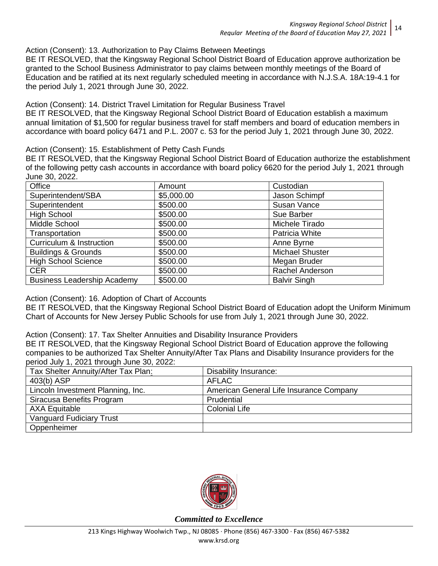Action (Consent): 13. Authorization to Pay Claims Between Meetings

BE IT RESOLVED, that the Kingsway Regional School District Board of Education approve authorization be granted to the School Business Administrator to pay claims between monthly meetings of the Board of Education and be ratified at its next regularly scheduled meeting in accordance with N.J.S.A. 18A:19-4.1 for the period July 1, 2021 through June 30, 2022.

Action (Consent): 14. District Travel Limitation for Regular Business Travel

BE IT RESOLVED, that the Kingsway Regional School District Board of Education establish a maximum annual limitation of \$1,500 for regular business travel for staff members and board of education members in accordance with board policy 6471 and P.L. 2007 c. 53 for the period July 1, 2021 through June 30, 2022.

Action (Consent): 15. Establishment of Petty Cash Funds

BE IT RESOLVED, that the Kingsway Regional School District Board of Education authorize the establishment of the following petty cash accounts in accordance with board policy 6620 for the period July 1, 2021 through June 30, 2022.

| Office                              | Amount     | Custodian              |
|-------------------------------------|------------|------------------------|
| Superintendent/SBA                  | \$5,000.00 | Jason Schimpf          |
| Superintendent                      | \$500.00   | Susan Vance            |
| <b>High School</b>                  | \$500.00   | Sue Barber             |
| Middle School                       | \$500.00   | Michele Tirado         |
| Transportation                      | \$500.00   | Patricia White         |
| <b>Curriculum &amp; Instruction</b> | \$500.00   | Anne Byrne             |
| <b>Buildings &amp; Grounds</b>      | \$500.00   | <b>Michael Shuster</b> |
| <b>High School Science</b>          | \$500.00   | Megan Bruder           |
| <b>CER</b>                          | \$500.00   | <b>Rachel Anderson</b> |
| <b>Business Leadership Academy</b>  | \$500.00   | <b>Balvir Singh</b>    |

Action (Consent): 16. Adoption of Chart of Accounts

BE IT RESOLVED, that the Kingsway Regional School District Board of Education adopt the Uniform Minimum Chart of Accounts for New Jersey Public Schools for use from July 1, 2021 through June 30, 2022.

Action (Consent): 17. Tax Shelter Annuities and Disability Insurance Providers

BE IT RESOLVED, that the Kingsway Regional School District Board of Education approve the following companies to be authorized Tax Shelter Annuity/After Tax Plans and Disability Insurance providers for the period July 1, 2021 through June 30, 2022:

| Tax Shelter Annuity/After Tax Plan: | <b>Disability Insurance:</b>            |
|-------------------------------------|-----------------------------------------|
| 403(b) ASP                          | <b>AFLAC</b>                            |
| Lincoln Investment Planning, Inc.   | American General Life Insurance Company |
| Siracusa Benefits Program           | Prudential                              |
| <b>AXA Equitable</b>                | <b>Colonial Life</b>                    |
| <b>Vanguard Fudiciary Trust</b>     |                                         |
| Oppenheimer                         |                                         |

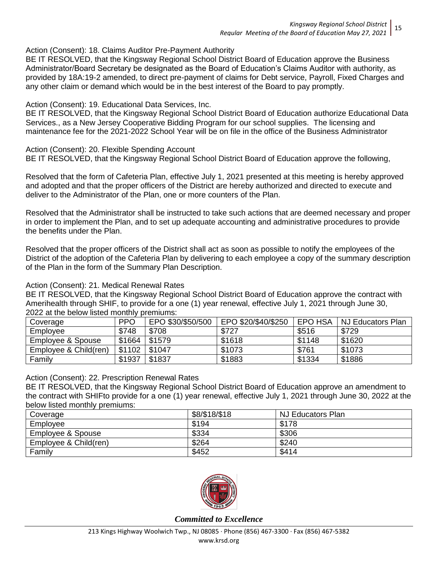Action (Consent): 18. Claims Auditor Pre-Payment Authority

BE IT RESOLVED, that the Kingsway Regional School District Board of Education approve the Business Administrator/Board Secretary be designated as the Board of Education's Claims Auditor with authority, as provided by 18A:19-2 amended, to direct pre-payment of claims for Debt service, Payroll, Fixed Charges and any other claim or demand which would be in the best interest of the Board to pay promptly.

## Action (Consent): 19. Educational Data Services, Inc.

BE IT RESOLVED, that the Kingsway Regional School District Board of Education authorize Educational Data Services., as a New Jersey Cooperative Bidding Program for our school supplies. The licensing and maintenance fee for the 2021-2022 School Year will be on file in the office of the Business Administrator

Action (Consent): 20. Flexible Spending Account

BE IT RESOLVED, that the Kingsway Regional School District Board of Education approve the following,

Resolved that the form of Cafeteria Plan, effective July 1, 2021 presented at this meeting is hereby approved and adopted and that the proper officers of the District are hereby authorized and directed to execute and deliver to the Administrator of the Plan, one or more counters of the Plan.

Resolved that the Administrator shall be instructed to take such actions that are deemed necessary and proper in order to implement the Plan, and to set up adequate accounting and administrative procedures to provide the benefits under the Plan.

Resolved that the proper officers of the District shall act as soon as possible to notify the employees of the District of the adoption of the Cafeteria Plan by delivering to each employee a copy of the summary description of the Plan in the form of the Summary Plan Description.

#### Action (Consent): 21. Medical Renewal Rates

BE IT RESOLVED, that the Kingsway Regional School District Board of Education approve the contract with Amerihealth through SHIF, to provide for a one (1) year renewal, effective July 1, 2021 through June 30, 2022 at the below listed monthly premiums:

| Coverage              | <b>PPO</b> | EPO \$30/\$50/500 | EPO \$20/\$40/\$250 | EPO HSA | I NJ Educators Plan |
|-----------------------|------------|-------------------|---------------------|---------|---------------------|
| Employee              | \$748      | \$708             | \$727               | \$516   | \$729               |
| Employee & Spouse     | \$1664     | \$1579            | \$1618              | \$1148  | \$1620              |
| Employee & Child(ren) | \$1102     | \$1047            | \$1073              | \$761   | \$1073              |
| Family                | \$1937     | \$1837            | \$1883              | \$1334  | \$1886              |

#### Action (Consent): 22. Prescription Renewal Rates

BE IT RESOLVED, that the Kingsway Regional School District Board of Education approve an amendment to the contract with SHIFto provide for a one (1) year renewal, effective July 1, 2021 through June 30, 2022 at the below listed monthly premiums:

| Coverage              | \$8/\$18/\$18 | NJ Educators Plan |
|-----------------------|---------------|-------------------|
| Employee              | \$194         | \$178             |
| Employee & Spouse     | \$334         | \$306             |
| Employee & Child(ren) | \$264         | \$240             |
| Family                | \$452         | \$414             |

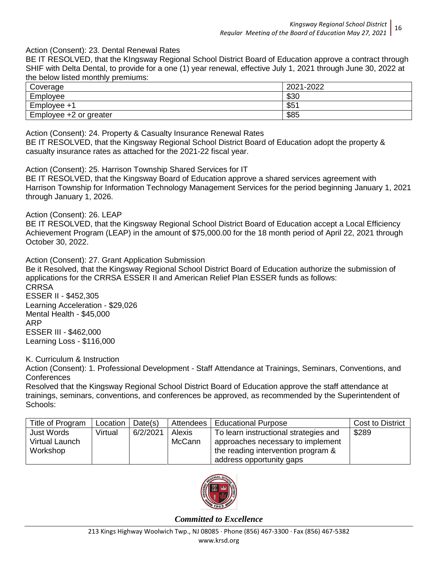#### Action (Consent): 23. Dental Renewal Rates

BE IT RESOLVED, that the KIngsway Regional School District Board of Education approve a contract through SHIF with Delta Dental, to provide for a one (1) year renewal, effective July 1, 2021 through June 30, 2022 at the below listed monthly premiums:

| `overage               | 2021-2022  |
|------------------------|------------|
| Employee               | രാറ<br>აას |
| Emplovee +1            | $$5^\circ$ |
| Employee +2 or greater | \$85       |

Action (Consent): 24. Property & Casualty Insurance Renewal Rates BE IT RESOLVED, that the Kingsway Regional School District Board of Education adopt the property & casualty insurance rates as attached for the 2021-22 fiscal year.

Action (Consent): 25. Harrison Township Shared Services for IT

BE IT RESOLVED, that the Kingsway Board of Education approve a shared services agreement with Harrison Township for Information Technology Management Services for the period beginning January 1, 2021 through January 1, 2026.

Action (Consent): 26. LEAP

BE IT RESOLVED, that the Kingsway Regional School District Board of Education accept a Local Efficiency Achievement Program (LEAP) in the amount of \$75,000.00 for the 18 month period of April 22, 2021 through October 30, 2022.

Action (Consent): 27. Grant Application Submission

Be it Resolved, that the Kingsway Regional School District Board of Education authorize the submission of applications for the CRRSA ESSER II and American Relief Plan ESSER funds as follows: **CRRSA** ESSER II - \$452,305

Learning Acceleration - \$29,026 Mental Health - \$45,000 ARP ESSER III - \$462,000 Learning Loss - \$116,000

K. Curriculum & Instruction

Action (Consent): 1. Professional Development - Staff Attendance at Trainings, Seminars, Conventions, and **Conferences** 

Resolved that the Kingsway Regional School District Board of Education approve the staff attendance at trainings, seminars, conventions, and conferences be approved, as recommended by the Superintendent of Schools:

| Title of Program                    | Location | Date(s)  | Attendees        | <b>Educational Purpose</b>                                                 | Cost to District |
|-------------------------------------|----------|----------|------------------|----------------------------------------------------------------------------|------------------|
| <b>Just Words</b><br>Virtual Launch | Virtual  | 6/2/2021 | Alexis<br>McCann | To learn instructional strategies and<br>approaches necessary to implement | \$289            |
| Workshop                            |          |          |                  | the reading intervention program &                                         |                  |
|                                     |          |          |                  | address opportunity gaps                                                   |                  |

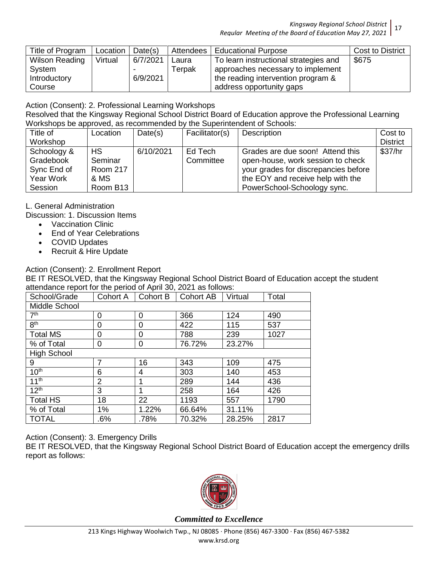| Title of Program      | Location | Date(s)  | Attendees | <b>Educational Purpose</b>            | <b>Cost to District</b> |
|-----------------------|----------|----------|-----------|---------------------------------------|-------------------------|
| <b>Wilson Reading</b> | Virtual  | 6/7/2021 | Laura     | To learn instructional strategies and | \$675                   |
| System                |          |          | Terpak    | approaches necessary to implement     |                         |
| Introductory          |          | 6/9/2021 |           | the reading intervention program &    |                         |
| Course                |          |          |           | address opportunity gaps              |                         |

Action (Consent): 2. Professional Learning Workshops

Resolved that the Kingsway Regional School District Board of Education approve the Professional Learning Workshops be approved, as recommended by the Superintendent of Schools:

| Title of    | Location             | Date(s)   | Facilitator(s) | Description                          | Cost to         |
|-------------|----------------------|-----------|----------------|--------------------------------------|-----------------|
| Workshop    |                      |           |                |                                      | <b>District</b> |
| Schoology & | <b>HS</b>            | 6/10/2021 | Ed Tech        | Grades are due soon! Attend this     | \$37/hr         |
| Gradebook   | Seminar              |           | Committee      | open-house, work session to check    |                 |
| Sync End of | <b>Room 217</b>      |           |                | your grades for discrepancies before |                 |
| Year Work   | & MS                 |           |                | the EOY and receive help with the    |                 |
| Session     | Room B <sub>13</sub> |           |                | PowerSchool-Schoology sync.          |                 |

L. General Administration

Discussion: 1. Discussion Items

- Vaccination Clinic
- End of Year Celebrations
- COVID Updates
- Recruit & Hire Update

## Action (Consent): 2. Enrollment Report

BE IT RESOLVED, that the Kingsway Regional School District Board of Education accept the student attendance report for the period of April 30, 2021 as follows:

| School/Grade       | Cohort A       | Cohort B | <b>Cohort AB</b> | Virtual | Total |  |  |  |
|--------------------|----------------|----------|------------------|---------|-------|--|--|--|
| Middle School      |                |          |                  |         |       |  |  |  |
| 7 <sup>th</sup>    | 0              | 0        | 366              | 124     | 490   |  |  |  |
| 8 <sup>th</sup>    | 0              | 0        | 422              | 115     | 537   |  |  |  |
| <b>Total MS</b>    | 0              | 0        | 788              | 239     | 1027  |  |  |  |
| % of Total         | 0              | 0        | 76.72%           | 23.27%  |       |  |  |  |
| <b>High School</b> |                |          |                  |         |       |  |  |  |
| 9                  | 7              | 16       | 343              | 109     | 475   |  |  |  |
| 10 <sup>th</sup>   | 6              | 4        | 303              | 140     | 453   |  |  |  |
| 11 <sup>th</sup>   | $\overline{2}$ | 1        | 289              | 144     | 436   |  |  |  |
| 12 <sup>th</sup>   | 3              | 1        | 258              | 164     | 426   |  |  |  |
| <b>Total HS</b>    | 18             | 22       | 1193             | 557     | 1790  |  |  |  |
| % of Total         | 1%             | 1.22%    | 66.64%           | 31.11%  |       |  |  |  |
| <b>TOTAL</b>       | $.6\%$         | .78%     | 70.32%           | 28.25%  | 2817  |  |  |  |

Action (Consent): 3. Emergency Drills

BE IT RESOLVED, that the Kingsway Regional School District Board of Education accept the emergency drills report as follows:

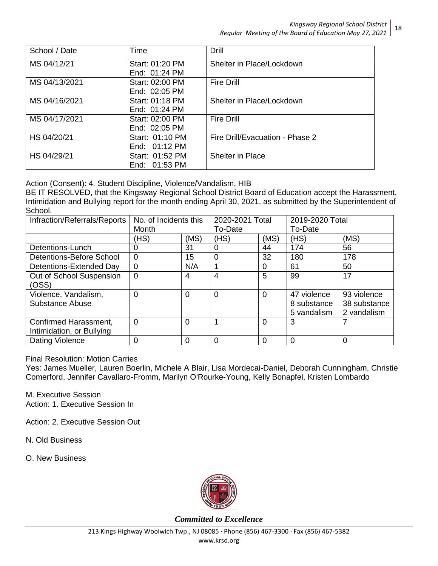| School / Date | Time            | Drill                           |
|---------------|-----------------|---------------------------------|
| MS 04/12/21   | Start: 01:20 PM | Shelter in Place/Lockdown       |
|               | End: 01:24 PM   |                                 |
| MS 04/13/2021 | Start: 02:00 PM | <b>Fire Drill</b>               |
|               | End: $02:05$ PM |                                 |
| MS 04/16/2021 | Start: 01:18 PM | Shelter in Place/Lockdown       |
|               | End: 01:24 PM   |                                 |
| MS 04/17/2021 | Start: 02:00 PM | <b>Fire Drill</b>               |
|               | End: 02:05 PM   |                                 |
| HS 04/20/21   | Start: 01:10 PM | Fire Drill/Evacuation - Phase 2 |
|               | End: $01:12$ PM |                                 |
| HS 04/29/21   | Start: 01:52 PM | <b>Shelter in Place</b>         |
|               | End: 01:53 PM   |                                 |

Action (Consent): 4. Student Discipline, Violence/Vandalism, HIB

BE IT RESOLVED, that the Kingsway Regional School District Board of Education accept the Harassment, Intimidation and Bullying report for the month ending April 30, 2021, as submitted by the Superintendent of School.

| Infraction/Referrals/Reports                       | No. of Incidents this<br>Month |          | 2020-2021 Total<br>To-Date |                | 2019-2020 Total<br>To-Date                |                                            |
|----------------------------------------------------|--------------------------------|----------|----------------------------|----------------|-------------------------------------------|--------------------------------------------|
|                                                    | (HS)                           | (MS)     | (HS)                       | (MS)           | (HS)                                      | (MS)                                       |
| Detentions-Lunch                                   | 0                              | 31       | 0                          | 44             | 174                                       | 56                                         |
| Detentions-Before School                           | $\overline{0}$                 | 15       | $\overline{0}$             | 32             | 180                                       | 178                                        |
| Detentions-Extended Day                            | $\overline{0}$                 | N/A      | 1                          | 0              | 61                                        | 50                                         |
| Out of School Suspension<br>(OSS)                  | $\overline{0}$                 | 4        | 4                          | 5              | 99                                        | 17                                         |
| Violence, Vandalism,<br>Substance Abuse            | $\Omega$                       | $\Omega$ | $\overline{0}$             | 0              | 47 violence<br>8 substance<br>5 vandalism | 93 violence<br>38 substance<br>2 vandalism |
| Confirmed Harassment,<br>Intimidation, or Bullying | $\Omega$                       | $\Omega$ | 4                          | $\overline{0}$ | 3                                         |                                            |
| Dating Violence                                    | 0                              | 0        | 0                          | 0              | $\Omega$                                  | 0                                          |

Final Resolution: Motion Carries

Yes: James Mueller, Lauren Boerlin, Michele A Blair, Lisa Mordecai-Daniel, Deborah Cunningham, Christie Comerford, Jennifer Cavallaro-Fromm, Marilyn O'Rourke-Young, Kelly Bonapfel, Kristen Lombardo

M. Executive Session Action: 1. Executive Session In

Action: 2. Executive Session Out

N. Old Business

O. New Business